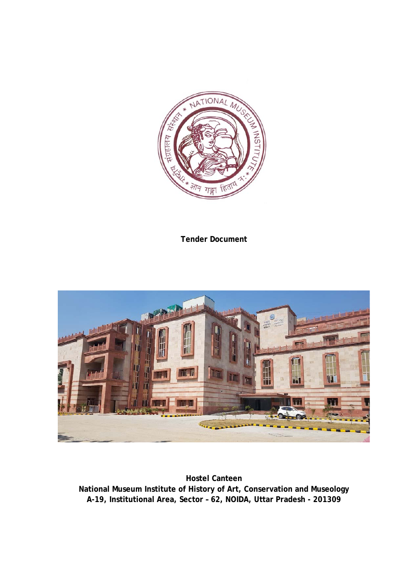

**Tender Document** 



**Hostel Canteen National Museum Institute of History of Art, Conservation and Museology A-19, Institutional Area, Sector – 62, NOIDA, Uttar Pradesh - 201309**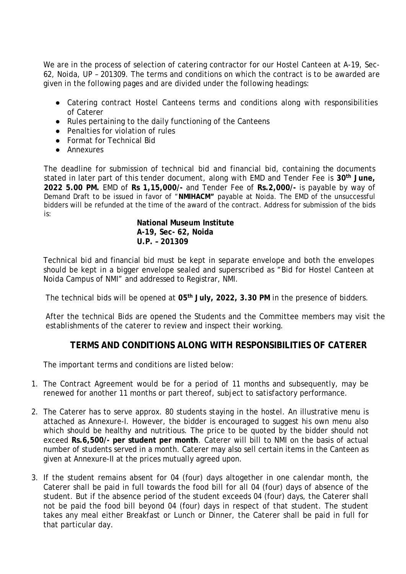We are in the process of selection of catering contractor for our Hostel Canteen at A-19, Sec-62, Noida, UP – 201309. The terms and conditions on which the contract is to be awarded are given in the following pages and are divided under the following headings:

- Catering contract Hostel Canteens terms and conditions along with responsibilities of Caterer
- Rules pertaining to the daily functioning of the Canteens
- Penalties for violation of rules
- Format for Technical Bid
- Annexures

The deadline for submission of technical bid and financial bid, containing the documents stated in later part of this tender document, along with EMD and Tender Fee is **30th June, 2022 5.00 PM.** EMD of **Rs 1,15,000/-** and Tender Fee of **Rs.2,000/-** is payable by way of Demand Draft to be issued in favor of "**NMIHACM"** payable at Noida. The EMD of the unsuccessful bidders will be refunded at the time of the award of the contract. Address for submission of the bids is:

#### **National Museum Institute A-19, Sec- 62, Noida U.P. – 201309**

Technical bid and financial bid must be kept in separate envelope and both the envelopes should be kept in a bigger envelope sealed and superscribed as "Bid for Hostel Canteen at Noida Campus of NMI" and addressed to Registrar, NMI.

The technical bids will be opened at **05th July, 2022, 3.30 PM** in the presence of bidders.

After the technical Bids are opened the Students and the Committee members may visit the establishments of the caterer to review and inspect their working.

### **TERMS AND CONDITIONS ALONG WITH RESPONSIBILITIES OF CATERER**

The important terms and conditions are listed below:

- 1. The Contract Agreement would be for a period of 11 months and subsequently, may be renewed for another 11 months or part thereof, subject to satisfactory performance.
- 2. The Caterer has to serve approx. 80 students staying in the hostel. An illustrative menu is attached as Annexure-I. However, the bidder is encouraged to suggest his own menu also which should be healthy and nutritious. The price to be quoted by the bidder should not exceed **Rs.6,500/- per student per month**. Caterer will bill to NMI on the basis of actual number of students served in a month. Caterer may also sell certain items in the Canteen as given at Annexure-II at the prices mutually agreed upon.
- 3. If the student remains absent for 04 (four) days altogether in one calendar month, the Caterer shall be paid in full towards the food bill for all 04 (four) days of absence of the student. But if the absence period of the student exceeds 04 (four) days, the Caterer shall not be paid the food bill beyond 04 (four) days in respect of that student. The student takes any meal either Breakfast or Lunch or Dinner, the Caterer shall be paid in full for that particular day.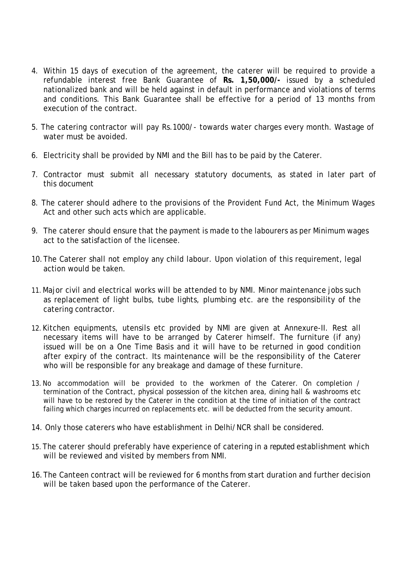- 4. Within 15 days of execution of the agreement, the caterer will be required to provide a refundable interest free Bank Guarantee of **Rs. 1,50,000/-** issued by a scheduled nationalized bank and will be held against in default in performance and violations of terms and conditions. This Bank Guarantee shall be effective for a period of 13 months from execution of the contract.
- 5. The catering contractor will pay Rs.1000/- towards water charges every month. Wastage of water must be avoided.
- 6. Electricity shall be provided by NMI and the Bill has to be paid by the Caterer.
- 7. Contractor must submit all necessary statutory documents, as stated in later part of this document
- 8. The caterer should adhere to the provisions of the Provident Fund Act, the Minimum Wages Act and other such acts which are applicable.
- 9. The caterer should ensure that the payment is made to the labourers as per Minimum wages act to the satisfaction of the licensee.
- 10.The Caterer shall not employ any child labour. Upon violation of this requirement, legal action would be taken.
- 11.Major civil and electrical works will be attended to by NMI. Minor maintenance jobs such as replacement of light bulbs, tube lights, plumbing etc. are the responsibility of the catering contractor.
- 12.Kitchen equipments, utensils etc provided by NMI are given at Annexure-II. Rest all necessary items will have to be arranged by Caterer himself. The furniture (if any) issued will be on a One Time Basis and it will have to be returned in good condition after expiry of the contract. Its maintenance will be the responsibility of the Caterer who will be responsible for any breakage and damage of these furniture.
- 13.No accommodation will be provided to the workmen of the Caterer. On completion / termination of the Contract, physical possession of the kitchen area, dining hall & washrooms etc will have to be restored by the Caterer in the condition at the time of initiation of the contract failing which charges incurred on replacements etc. will be deducted from the security amount.
- 14. Only those caterers who have establishment in Delhi/NCR shall be considered.
- 15.The caterer should preferably have experience of catering in a reputed establishment which will be reviewed and visited by members from NMI.
- 16.The Canteen contract will be reviewed for 6 months from start duration and further decision will be taken based upon the performance of the Caterer.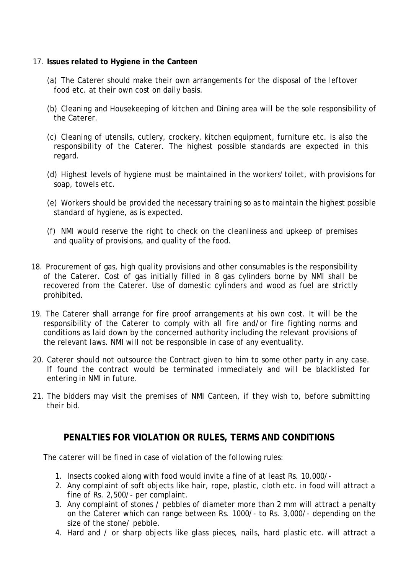#### 17. **Issues related to Hygiene in the Canteen**

- (a) The Caterer should make their own arrangements for the disposal of the leftover food etc. at their own cost on daily basis.
- (b) Cleaning and Housekeeping of kitchen and Dining area will be the sole responsibility of the Caterer.
- (c) Cleaning of utensils, cutlery, crockery, kitchen equipment, furniture etc. is also the responsibility of the Caterer. The highest possible standards are expected in this regard.
- (d) Highest levels of hygiene must be maintained in the workers' toilet, with provisions for soap, towels etc.
- (e) Workers should be provided the necessary training so as to maintain the highest possible standard of hygiene, as is expected.
- (f) NMI would reserve the right to check on the cleanliness and upkeep of premises and quality of provisions, and quality of the food.
- 18. Procurement of gas, high quality provisions and other consumables is the responsibility of the Caterer. Cost of gas initially filled in 8 gas cylinders borne by NMI shall be recovered from the Caterer. Use of domestic cylinders and wood as fuel are strictly prohibited.
- 19. The Caterer shall arrange for fire proof arrangements at his own cost. It will be the responsibility of the Caterer to comply with all fire and/or fire fighting norms and conditions as laid down by the concerned authority including the relevant provisions of the relevant laws. NMI will not be responsible in case of any eventuality.
- 20. Caterer should not outsource the Contract given to him to some other party in any case. If found the contract would be terminated immediately and will be blacklisted for entering in NMI in future.
- 21. The bidders may visit the premises of NMI Canteen, if they wish to, before submitting their bid.

### **PENALTIES FOR VIOLATION OR RULES, TERMS AND CONDITIONS**

The caterer will be fined in case of violation of the following rules:

- 1. Insects cooked along with food would invite a fine of at least Rs. 10,000/-
- 2. Any complaint of soft objects like hair, rope, plastic, cloth etc. in food will attract a fine of Rs. 2,500/- per complaint.
- 3. Any complaint of stones / pebbles of diameter more than 2 mm will attract a penalty on the Caterer which can range between Rs. 1000/- to Rs. 3,000/- depending on the size of the stone/ pebble.
- 4. Hard and / or sharp objects like glass pieces, nails, hard plastic etc. will attract a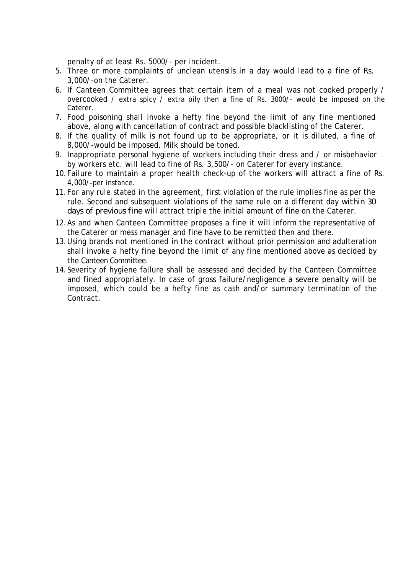penalty of at least Rs. 5000/- per incident.

- 5. Three or more complaints of unclean utensils in a day would lead to a fine of Rs. 3,000/-on the Caterer.
- 6. If Canteen Committee agrees that certain item of a meal was not cooked properly / overcooked / extra spicy / extra oily then a fine of Rs. 3000/- would be imposed on the Caterer.
- 7. Food poisoning shall invoke a hefty fine beyond the limit of any fine mentioned above, along with cancellation of contract and possible blacklisting of the Caterer.
- 8. If the quality of milk is not found up to be appropriate, or it is diluted, a fine of 8,000/-would be imposed. Milk should be toned.
- 9. Inappropriate personal hygiene of workers including their dress and / or misbehavior by workers etc. will lead to fine of Rs. 3,500/- on Caterer for every instance.
- 10.Failure to maintain a proper health check-up of the workers will attract a fine of Rs. 4,000/-per instance.
- 11.For any rule stated in the agreement, first violation of the rule implies fine as per the rule. Second and subsequent violations of the same rule on a different day *within 30 days of previous fine* will attract triple the initial amount of fine on the Caterer.
- 12.As and when Canteen Committee proposes a fine it will inform the representative of the Caterer or mess manager and fine have to be remitted then and there.
- 13.Using brands not mentioned in the contract without prior permission and adulteration shall invoke a hefty fine beyond the limit of any fine mentioned above as decided by the Canteen Committee.
- 14.Severity of hygiene failure shall be assessed and decided by the Canteen Committee and fined appropriately. In case of gross failure/negligence a severe penalty will be imposed, which could be a hefty fine as cash and/or summary termination of the Contract.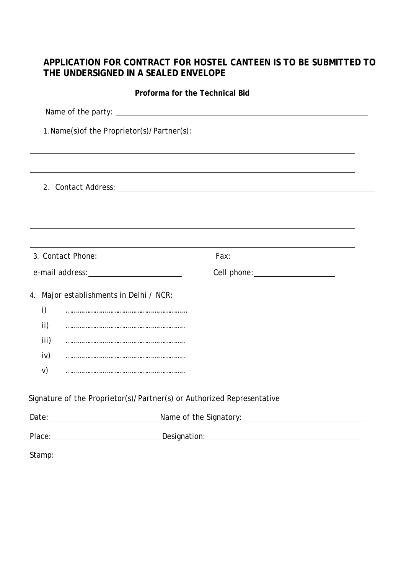## **APPLICATION FOR CONTRACT FOR HOSTEL CANTEEN IS TO BE SUBMITTED TO THE UNDERSIGNED IN A SEALED ENVELOPE**

|                                                                        | Proforma for the Technical Bid                                                                                 |
|------------------------------------------------------------------------|----------------------------------------------------------------------------------------------------------------|
|                                                                        |                                                                                                                |
|                                                                        |                                                                                                                |
|                                                                        |                                                                                                                |
|                                                                        |                                                                                                                |
|                                                                        |                                                                                                                |
|                                                                        |                                                                                                                |
|                                                                        |                                                                                                                |
|                                                                        |                                                                                                                |
|                                                                        |                                                                                                                |
|                                                                        | Cell phone: ____________________                                                                               |
| 4. Major establishments in Delhi / NCR:                                |                                                                                                                |
| i)                                                                     |                                                                                                                |
| ii)                                                                    |                                                                                                                |
| iii)                                                                   |                                                                                                                |
| iv)                                                                    |                                                                                                                |
| V)                                                                     |                                                                                                                |
| Signature of the Proprietor(s)/Partner(s) or Authorized Representative |                                                                                                                |
|                                                                        |                                                                                                                |
|                                                                        | Place: Designation: Designation: Designation: Designation: Designation: Designation: Designation: Designation: |
| Stamp:                                                                 |                                                                                                                |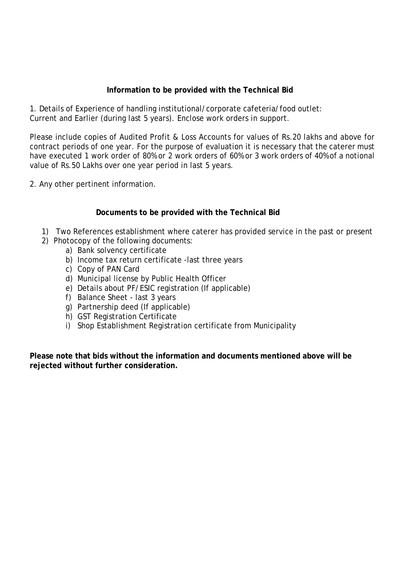### **Information to be provided with the Technical Bid**

1. Details of Experience of handling institutional/corporate cafeteria/food outlet: Current and Earlier (during last 5 years). Enclose work orders in support.

Please include copies of Audited Profit & Loss Accounts for values of Rs.20 lakhs and above for contract periods of one year. For the purpose of evaluation it is necessary that the caterer must have executed 1 work order of 80% or 2 work orders of 60% or 3 work orders of 40% of a notional value of Rs.50 Lakhs over one year period in last 5 years.

2. Any other pertinent information.

#### **Documents to be provided with the Technical Bid**

- 1) Two References establishment where caterer has provided service in the past or present
- 2) Photocopy of the following documents:
	- a) Bank solvency certificate
	- b) Income tax return certificate -last three years
	- c) Copy of PAN Card
	- d) Municipal license by Public Health Officer
	- e) Details about PF/ESIC registration (If applicable)
	- f) Balance Sheet last 3 years
	- g) Partnership deed (If applicable)
	- h) GST Registration Certificate
	- i) Shop Establishment Registration certificate from Municipality

**Please note that bids without the information and documents mentioned above will be rejected without further consideration.**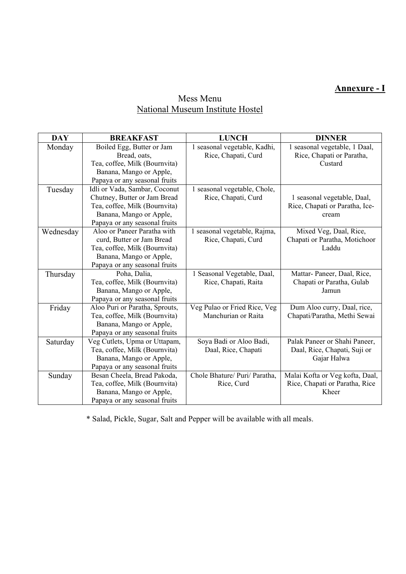# **Annexure - I**

## Mess Menu National Museum Institute Hostel

| <b>DAY</b> | <b>BREAKFAST</b>               | <b>LUNCH</b>                  | <b>DINNER</b>                   |
|------------|--------------------------------|-------------------------------|---------------------------------|
| Monday     | Boiled Egg, Butter or Jam      | 1 seasonal vegetable, Kadhi,  | 1 seasonal vegetable, 1 Daal,   |
|            | Bread, oats,                   | Rice, Chapati, Curd           | Rice, Chapati or Paratha,       |
|            | Tea, coffee, Milk (Bournvita)  |                               | Custard                         |
|            | Banana, Mango or Apple,        |                               |                                 |
|            | Papaya or any seasonal fruits  |                               |                                 |
| Tuesday    | Idli or Vada, Sambar, Coconut  | 1 seasonal vegetable, Chole,  |                                 |
|            | Chutney, Butter or Jam Bread   | Rice, Chapati, Curd           | 1 seasonal vegetable, Daal,     |
|            | Tea, coffee, Milk (Bournvita)  |                               | Rice, Chapati or Paratha, Ice-  |
|            | Banana, Mango or Apple,        |                               | cream                           |
|            | Papaya or any seasonal fruits  |                               |                                 |
| Wednesday  | Aloo or Paneer Paratha with    | 1 seasonal vegetable, Rajma,  | Mixed Veg, Daal, Rice,          |
|            | curd, Butter or Jam Bread      | Rice, Chapati, Curd           | Chapati or Paratha, Motichoor   |
|            | Tea, coffee, Milk (Bournvita)  |                               | Laddu                           |
|            | Banana, Mango or Apple,        |                               |                                 |
|            | Papaya or any seasonal fruits  |                               |                                 |
| Thursday   | Poha, Dalia,                   | 1 Seasonal Vegetable, Daal,   | Mattar-Paneer, Daal, Rice,      |
|            | Tea, coffee, Milk (Bournvita)  | Rice, Chapati, Raita          | Chapati or Paratha, Gulab       |
|            | Banana, Mango or Apple,        |                               | Jamun                           |
|            | Papaya or any seasonal fruits  |                               |                                 |
| Friday     | Aloo Puri or Paratha, Sprouts, | Veg Pulao or Fried Rice, Veg  | Dum Aloo curry, Daal, rice,     |
|            | Tea, coffee, Milk (Bournvita)  | Manchurian or Raita           | Chapati/Paratha, Methi Sewai    |
|            | Banana, Mango or Apple,        |                               |                                 |
|            | Papaya or any seasonal fruits  |                               |                                 |
| Saturday   | Veg Cutlets, Upma or Uttapam,  | Soya Badi or Aloo Badi,       | Palak Paneer or Shahi Paneer,   |
|            | Tea, coffee, Milk (Bournvita)  | Daal, Rice, Chapati           | Daal, Rice, Chapati, Suji or    |
|            | Banana, Mango or Apple,        |                               | Gajar Halwa                     |
|            | Papaya or any seasonal fruits  |                               |                                 |
| Sunday     | Besan Cheela, Bread Pakoda,    | Chole Bhature/ Puri/ Paratha, | Malai Kofta or Veg kofta, Daal, |
|            | Tea, coffee, Milk (Bournvita)  | Rice, Curd                    | Rice, Chapati or Paratha, Rice  |
|            | Banana, Mango or Apple,        |                               | Kheer                           |
|            | Papaya or any seasonal fruits  |                               |                                 |

\* Salad, Pickle, Sugar, Salt and Pepper will be available with all meals.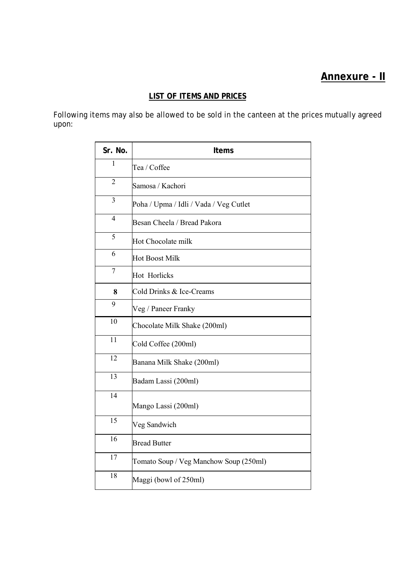# **Annexure - II**

## **LIST OF ITEMS AND PRICES**

Following items may also be allowed to be sold in the canteen at the prices mutually agreed upon:

| Sr. No.         | Items                                  |
|-----------------|----------------------------------------|
| $\mathbf{1}$    | Tea / Coffee                           |
| $\overline{2}$  | Samosa / Kachori                       |
| 3               | Poha / Upma / Idli / Vada / Veg Cutlet |
| $\overline{4}$  | Besan Cheela / Bread Pakora            |
| 5               | Hot Chocolate milk                     |
| 6               | <b>Hot Boost Milk</b>                  |
| $\overline{7}$  | <b>Hot Horlicks</b>                    |
| 8               | Cold Drinks & Ice-Creams               |
| 9               | Veg / Paneer Franky                    |
| 10              | Chocolate Milk Shake (200ml)           |
| 11              | Cold Coffee (200ml)                    |
| 12              | Banana Milk Shake (200ml)              |
| $\overline{13}$ | Badam Lassi (200ml)                    |
| 14              | Mango Lassi (200ml)                    |
| 15              | Veg Sandwich                           |
| 16              | <b>Bread Butter</b>                    |
| 17              | Tomato Soup / Veg Manchow Soup (250ml) |
| 18              | Maggi (bowl of 250ml)                  |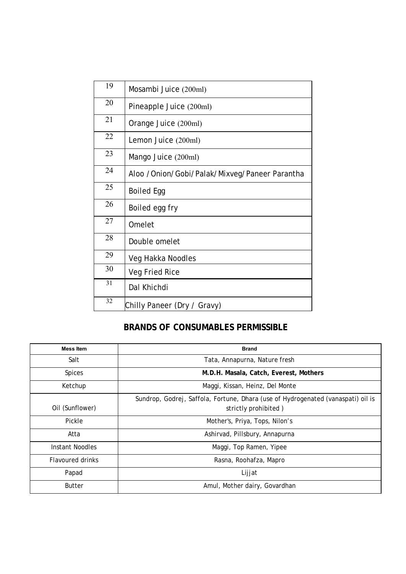| 19     | Mosambi Juice (200ml)                         |
|--------|-----------------------------------------------|
| 20     | Pineapple Juice (200ml)                       |
| 21     | Orange Juice (200ml)                          |
| 22     | Lemon Juice (200ml)                           |
| 23     | Mango Juice (200ml)                           |
| 24     | Aloo /Onion/Gobi/Palak/Mixveg/Paneer Parantha |
| 25     | <b>Boiled Egg</b>                             |
| 26     | Boiled egg fry                                |
| 27     | Omelet                                        |
| 28     | Double omelet                                 |
| 29     | Veg Hakka Noodles                             |
| $30\,$ | Veg Fried Rice                                |
| 31     | Dal Khichdi                                   |
| 32     | Chilly Paneer (Dry / Gravy)                   |

## **BRANDS OF CONSUMABLES PERMISSIBLE**

| <b>Mess Item</b>        | <b>Brand</b>                                                                     |
|-------------------------|----------------------------------------------------------------------------------|
| Salt                    | Tata, Annapurna, Nature fresh                                                    |
| <b>Spices</b>           | M.D.H. Masala, Catch, Everest, Mothers                                           |
| Ketchup                 | Maggi, Kissan, Heinz, Del Monte                                                  |
|                         | Sundrop, Godrej, Saffola, Fortune, Dhara (use of Hydrogenated (vanaspati) oil is |
| Oil (Sunflower)         | strictly prohibited)                                                             |
| Pickle                  | Mother's, Priya, Tops, Nilon's                                                   |
| Atta                    | Ashirvad, Pillsbury, Annapurna                                                   |
| Instant Noodles         | Maggi, Top Ramen, Yipee                                                          |
| <b>Flavoured drinks</b> | Rasna, Roohafza, Mapro                                                           |
| Papad                   | Lijjat                                                                           |
| <b>Butter</b>           | Amul, Mother dairy, Govardhan                                                    |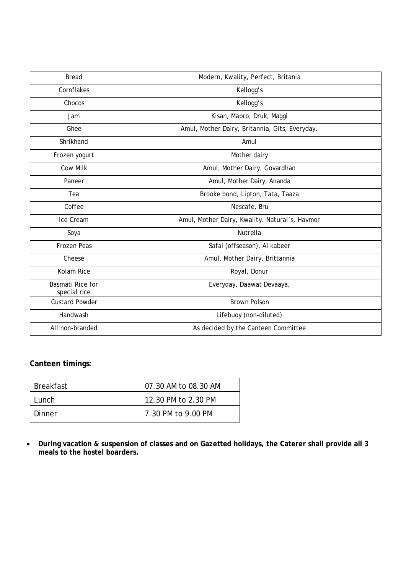| <b>Bread</b>                            | Modern, Kwality, Perfect, Britania             |
|-----------------------------------------|------------------------------------------------|
| Cornflakes                              | Kellogg's                                      |
| Chocos                                  | Kellogg's                                      |
| Jam                                     | Kisan, Mapro, Druk, Maggi                      |
| Ghee                                    | Amul, Mother Dairy, Britannia, Gits, Everyday, |
| Shrikhand                               | Amul                                           |
| Frozen yogurt                           | Mother dairy                                   |
| <b>Cow Milk</b>                         | Amul, Mother Dairy, Govardhan                  |
| Paneer                                  | Amul, Mother Dairy, Ananda                     |
| Tea                                     | Brooke bond, Lipton, Tata, Taaza               |
| Coffee                                  | Nescafe, Bru                                   |
| Ice Cream                               | Amul, Mother Dairy, Kwality. Natural's, Havmor |
| Soya                                    | Nutrella                                       |
| Frozen Peas                             | Safal (offseason), Al kabeer                   |
| Cheese                                  | Amul, Mother Dairy, Brittannia                 |
| Kolam Rice                              | Royal, Donur                                   |
| <b>Basmati Rice for</b><br>special rice | Everyday, Daawat Devaaya,                      |
| <b>Custard Powder</b>                   | <b>Brown Polson</b>                            |
| Handwash                                | Lifebuoy (non-diluted)                         |
| All non-branded                         | As decided by the Canteen Committee            |

### **Canteen timings**:

| <b>Breakfast</b> | 07.30 AM to 08.30 AM |
|------------------|----------------------|
| Tunch.           | 12.30 PM to 2.30 PM  |
| Dinner           | l 7.30 PM to 9.00 PM |

 **During vacation & suspension of classes and on Gazetted holidays, the Caterer shall provide all 3 meals to the hostel boarders.**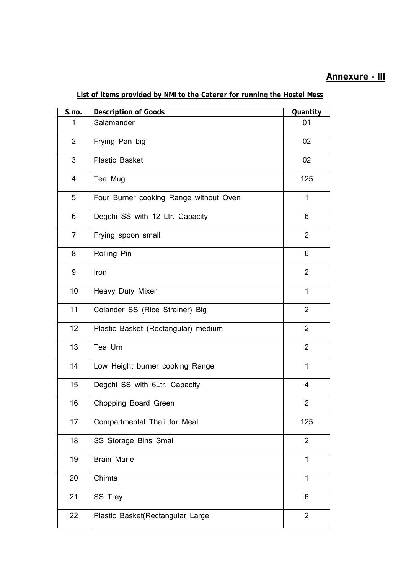# **Annexure - III**

| $\overline{\mathsf{S}}$ .no. | <b>Description of Goods</b>            | Quantity       |
|------------------------------|----------------------------------------|----------------|
| 1                            | Salamander                             | 01             |
| $\overline{2}$               | Frying Pan big                         | 02             |
| 3                            | <b>Plastic Basket</b>                  | 02             |
| $\overline{4}$               | Tea Mug                                | 125            |
| 5                            | Four Burner cooking Range without Oven | $\mathbf{1}$   |
| 6                            | Degchi SS with 12 Ltr. Capacity        | 6              |
| 7                            | Frying spoon small                     | $\overline{2}$ |
| 8                            | Rolling Pin                            | 6              |
| 9                            | Iron                                   | $\overline{2}$ |
| 10                           | Heavy Duty Mixer                       | $\mathbf{1}$   |
| 11                           | Colander SS (Rice Strainer) Big        | $\overline{2}$ |
| 12                           | Plastic Basket (Rectangular) medium    | $\overline{2}$ |
| 13                           | Tea Urn                                | $\overline{2}$ |
| 14                           | Low Height burner cooking Range        | $\mathbf{1}$   |
| 15 <sub>2</sub>              | Degchi SS with 6Ltr. Capacity          | $\overline{4}$ |
| 16                           | Chopping Board Green                   | $\overline{2}$ |
| 17                           | Compartmental Thali for Meal           | 125            |
| 18                           | SS Storage Bins Small                  | $\overline{2}$ |
| 19                           | <b>Brain Marie</b>                     | 1              |
| 20                           | Chimta                                 | $\mathbf{1}$   |
| 21                           | SS Trey                                | 6              |
| 22                           | Plastic Basket(Rectangular Large       | $\overline{2}$ |

### **List of items provided by NMI to the Caterer for running the Hostel Mess**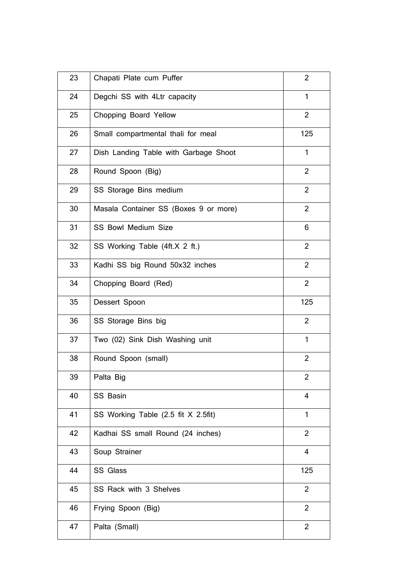| 23 | Chapati Plate cum Puffer              | $\overline{2}$ |
|----|---------------------------------------|----------------|
| 24 | Degchi SS with 4Ltr capacity          | $\mathbf{1}$   |
| 25 | Chopping Board Yellow                 | $\overline{2}$ |
| 26 | Small compartmental thali for meal    | 125            |
| 27 | Dish Landing Table with Garbage Shoot | $\mathbf{1}$   |
| 28 | Round Spoon (Big)                     | $\overline{2}$ |
| 29 | SS Storage Bins medium                | $\overline{2}$ |
| 30 | Masala Container SS (Boxes 9 or more) | $\overline{2}$ |
| 31 | SS Bowl Medium Size                   | 6              |
| 32 | SS Working Table (4ft.X 2 ft.)        | $\overline{2}$ |
| 33 | Kadhi SS big Round 50x32 inches       | $\overline{2}$ |
| 34 | Chopping Board (Red)                  | $\overline{2}$ |
| 35 | Dessert Spoon                         | 125            |
| 36 | SS Storage Bins big                   | $\overline{2}$ |
| 37 | Two (02) Sink Dish Washing unit       | $\mathbf{1}$   |
| 38 | Round Spoon (small)                   | $\overline{2}$ |
| 39 | Palta Big                             | 2              |
| 40 | <b>SS Basin</b>                       | 4              |
| 41 | SS Working Table (2.5 fit X 2.5fit)   | 1              |
| 42 | Kadhai SS small Round (24 inches)     | $\overline{2}$ |
| 43 | Soup Strainer                         | $\overline{4}$ |
| 44 | SS Glass                              | 125            |
| 45 | SS Rack with 3 Shelves                | $\overline{2}$ |
| 46 | Frying Spoon (Big)                    | $\overline{2}$ |
| 47 | Palta (Small)                         | $\overline{2}$ |